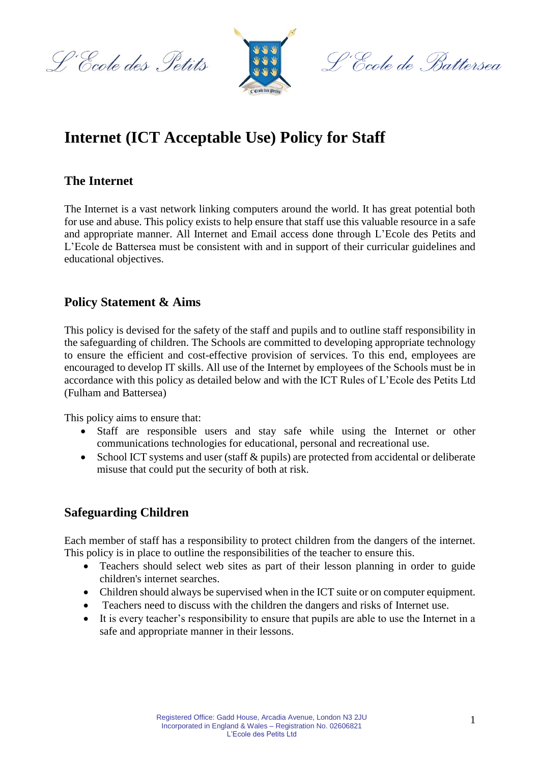L'Ecole des Petits



L'École de Battersea

# **Internet (ICT Acceptable Use) Policy for Staff**

# **The Internet**

The Internet is a vast network linking computers around the world. It has great potential both for use and abuse. This policy exists to help ensure that staff use this valuable resource in a safe and appropriate manner. All Internet and Email access done through L'Ecole des Petits and L'Ecole de Battersea must be consistent with and in support of their curricular guidelines and educational objectives.

# **Policy Statement & Aims**

This policy is devised for the safety of the staff and pupils and to outline staff responsibility in the safeguarding of children. The Schools are committed to developing appropriate technology to ensure the efficient and cost-effective provision of services. To this end, employees are encouraged to develop IT skills. All use of the Internet by employees of the Schools must be in accordance with this policy as detailed below and with the ICT Rules of L'Ecole des Petits Ltd (Fulham and Battersea)

This policy aims to ensure that:

- Staff are responsible users and stay safe while using the Internet or other communications technologies for educational, personal and recreational use.
- School ICT systems and user (staff & pupils) are protected from accidental or deliberate misuse that could put the security of both at risk.

#### **Safeguarding Children**

Each member of staff has a responsibility to protect children from the dangers of the internet. This policy is in place to outline the responsibilities of the teacher to ensure this.

- Teachers should select web sites as part of their lesson planning in order to guide children's internet searches.
- Children should always be supervised when in the ICT suite or on computer equipment.
- Teachers need to discuss with the children the dangers and risks of Internet use.
- It is every teacher's responsibility to ensure that pupils are able to use the Internet in a safe and appropriate manner in their lessons.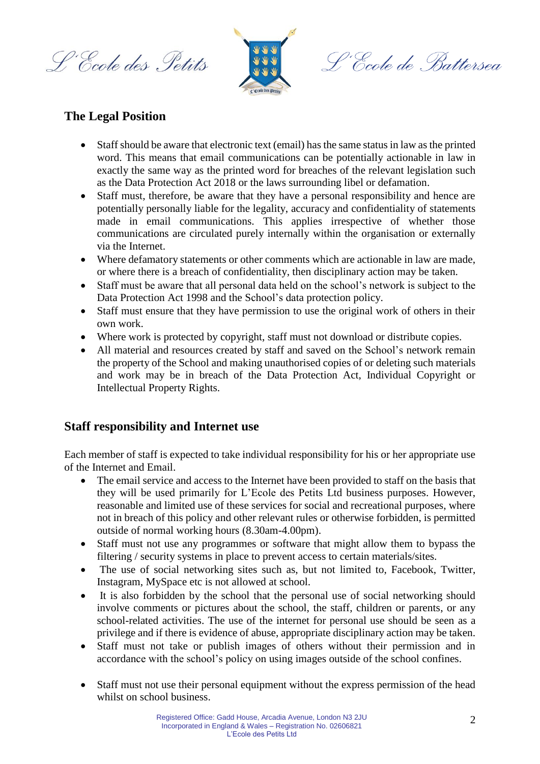L'Ecole des Petits



S, Ecole de Battersea

#### **The Legal Position**

- Staff should be aware that electronic text (email) has the same status in law as the printed word. This means that email communications can be potentially actionable in law in exactly the same way as the printed word for breaches of the relevant legislation such as the Data Protection Act 2018 or the laws surrounding libel or defamation.
- Staff must, therefore, be aware that they have a personal responsibility and hence are potentially personally liable for the legality, accuracy and confidentiality of statements made in email communications. This applies irrespective of whether those communications are circulated purely internally within the organisation or externally via the Internet.
- Where defamatory statements or other comments which are actionable in law are made, or where there is a breach of confidentiality, then disciplinary action may be taken.
- Staff must be aware that all personal data held on the school's network is subject to the Data Protection Act 1998 and the School's data protection policy.
- Staff must ensure that they have permission to use the original work of others in their own work.
- Where work is protected by copyright, staff must not download or distribute copies.
- All material and resources created by staff and saved on the School's network remain the property of the School and making unauthorised copies of or deleting such materials and work may be in breach of the Data Protection Act, Individual Copyright or Intellectual Property Rights.

#### **Staff responsibility and Internet use**

Each member of staff is expected to take individual responsibility for his or her appropriate use of the Internet and Email.

- The email service and access to the Internet have been provided to staff on the basis that they will be used primarily for L'Ecole des Petits Ltd business purposes. However, reasonable and limited use of these services for social and recreational purposes, where not in breach of this policy and other relevant rules or otherwise forbidden, is permitted outside of normal working hours (8.30am-4.00pm).
- Staff must not use any programmes or software that might allow them to bypass the filtering / security systems in place to prevent access to certain materials/sites.
- The use of social networking sites such as, but not limited to, Facebook, Twitter, Instagram, MySpace etc is not allowed at school.
- It is also forbidden by the school that the personal use of social networking should involve comments or pictures about the school, the staff, children or parents, or any school-related activities. The use of the internet for personal use should be seen as a privilege and if there is evidence of abuse, appropriate disciplinary action may be taken.
- Staff must not take or publish images of others without their permission and in accordance with the school's policy on using images outside of the school confines.
- Staff must not use their personal equipment without the express permission of the head whilst on school business.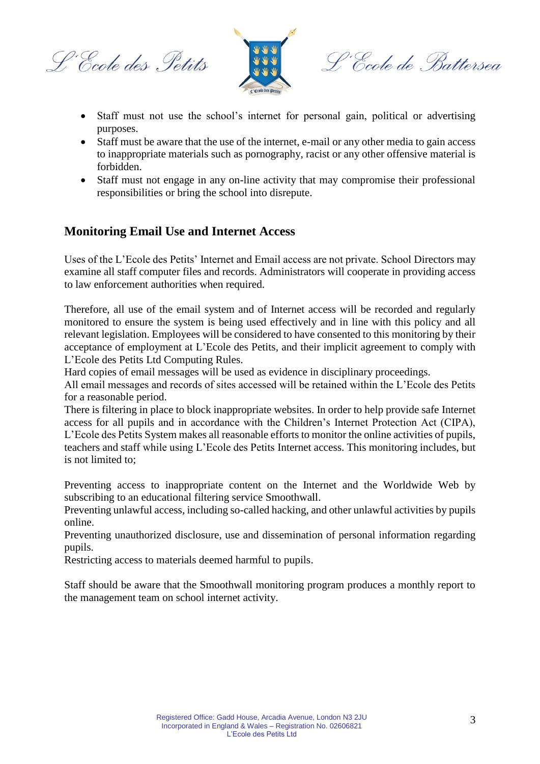L'Ecole des Petits



L'École de Battersea

- Staff must not use the school's internet for personal gain, political or advertising purposes.
- Staff must be aware that the use of the internet, e-mail or any other media to gain access to inappropriate materials such as pornography, racist or any other offensive material is forbidden.
- Staff must not engage in any on-line activity that may compromise their professional responsibilities or bring the school into disrepute.

# **Monitoring Email Use and Internet Access**

Uses of the L'Ecole des Petits' Internet and Email access are not private. School Directors may examine all staff computer files and records. Administrators will cooperate in providing access to law enforcement authorities when required.

Therefore, all use of the email system and of Internet access will be recorded and regularly monitored to ensure the system is being used effectively and in line with this policy and all relevant legislation. Employees will be considered to have consented to this monitoring by their acceptance of employment at L'Ecole des Petits, and their implicit agreement to comply with L'Ecole des Petits Ltd Computing Rules.

Hard copies of email messages will be used as evidence in disciplinary proceedings.

All email messages and records of sites accessed will be retained within the L'Ecole des Petits for a reasonable period.

There is filtering in place to block inappropriate websites. In order to help provide safe Internet access for all pupils and in accordance with the Children's Internet Protection Act (CIPA), L'Ecole des Petits System makes all reasonable efforts to monitor the online activities of pupils, teachers and staff while using L'Ecole des Petits Internet access. This monitoring includes, but is not limited to;

Preventing access to inappropriate content on the Internet and the Worldwide Web by subscribing to an educational filtering service Smoothwall.

Preventing unlawful access, including so-called hacking, and other unlawful activities by pupils online.

Preventing unauthorized disclosure, use and dissemination of personal information regarding pupils.

Restricting access to materials deemed harmful to pupils.

Staff should be aware that the Smoothwall monitoring program produces a monthly report to the management team on school internet activity.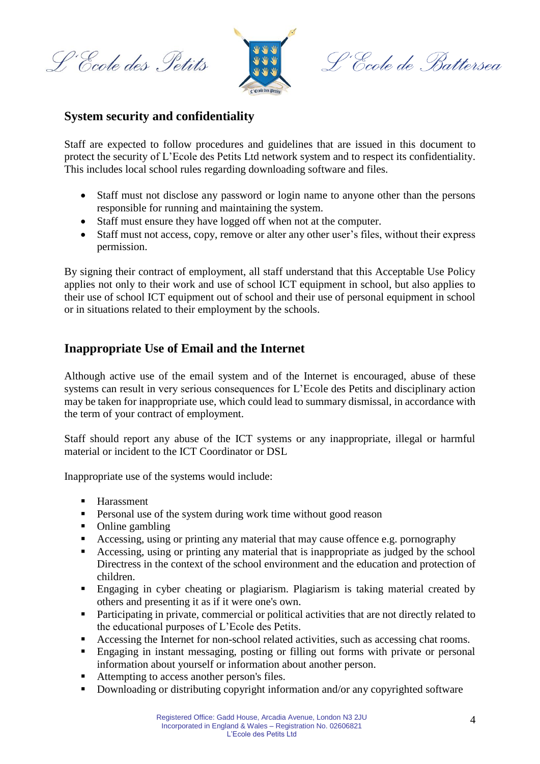L'École des Petits



L'École de Battersea

#### **System security and confidentiality**

Staff are expected to follow procedures and guidelines that are issued in this document to protect the security of L'Ecole des Petits Ltd network system and to respect its confidentiality. This includes local school rules regarding downloading software and files.

- Staff must not disclose any password or login name to anyone other than the persons responsible for running and maintaining the system.
- Staff must ensure they have logged off when not at the computer.
- Staff must not access, copy, remove or alter any other user's files, without their express permission.

By signing their contract of employment, all staff understand that this Acceptable Use Policy applies not only to their work and use of school ICT equipment in school, but also applies to their use of school ICT equipment out of school and their use of personal equipment in school or in situations related to their employment by the schools.

# **Inappropriate Use of Email and the Internet**

Although active use of the email system and of the Internet is encouraged, abuse of these systems can result in very serious consequences for L'Ecole des Petits and disciplinary action may be taken for inappropriate use, which could lead to summary dismissal, in accordance with the term of your contract of employment.

Staff should report any abuse of the ICT systems or any inappropriate, illegal or harmful material or incident to the ICT Coordinator or DSL

Inappropriate use of the systems would include:

- **Harassment**
- **Personal use of the system during work time without good reason**
- Online gambling
- Accessing, using or printing any material that may cause offence e.g. pornography
- Accessing, using or printing any material that is inappropriate as judged by the school Directress in the context of the school environment and the education and protection of children.
- Engaging in cyber cheating or plagiarism. Plagiarism is taking material created by others and presenting it as if it were one's own.
- **Participating in private, commercial or political activities that are not directly related to** the educational purposes of L'Ecole des Petits.
- Accessing the Internet for non-school related activities, such as accessing chat rooms.
- Engaging in instant messaging, posting or filling out forms with private or personal information about yourself or information about another person.
- Attempting to access another person's files.
- **Downloading or distributing copyright information and/or any copyrighted software**